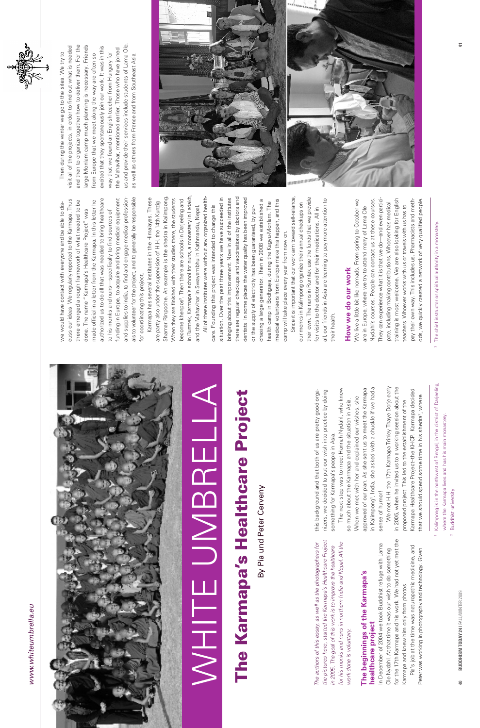#### www.whiteumbrella.eu *www.whiteumbrella.eu*



#### The beginnings of the Karmapa's **The beginnings of the Karmapa's healthcare project**  healthcare project

for the 17th Karmapa and his work. We had not yet met the for the 17th Karmapa and his work. We had not yet met the In December of 2004 we took Buddhist refuge with Lama Ole Nydahl. At that time it was our wish to do something In December of 2004 we took Buddhist refuge with La Ole Nydahl. At that time it was our wish to do somethin Karmapa and knew him only from photos. Karmapa and knew him only from photos.

## The Karmapa's Healthcare Project **Healthcare Project** The Karmapa's

By Pia und Peter Cerveny By Pia und Peter Cerveny Buddhist university 2 Buddhist university



Pia's job at the time was naturopathic medicine, and Pia's job at the time was naturopathic medicine, and Peter was working in photography and technology. Given Peter was working in photography and technology. Given

*the pictures here, started the Karmapa's Healthcare Project ject for his monks and nuns in northern India and Nepal. All the*  for *The authors of this essay, as well as the photographers for*  the *in 2005. The goal of this work is to improve the healthcare*  The authors of this essay, as well as the photographers the pictures here, started the Karmapa's Healthcare Pro in 2005. The goal of this work is to improve the healthca for his monks and nuns in northern India and Nepal. All work done is voluntary. *work done is voluntary.*

, India, she asked with a chuckle if we had a approved of our plan. As she sent us to meet the Karmapa in Kalimpong', India, she asked with a chuckle if we had a approved of our plan. As she sent us to meet the Karmapa When we met with her and explained our wishes, she When we met with her and explained our wishes, she sense of humor! sense of humor! in Kalimpong<sup>1</sup>

We met H.H. the 17th Karmapa Trinley Thaye Dorje early in 2005, when he invited us to a working session about the in 2005, when he invited us to a working session about the We met H.H. the 17th Karmapa Trinley Thaye Dorje early Karmapa Healthcare Project–the KHCP. Karmapa decided Karmapa Healthcare Project-the KHCP. Karmapa decided that we should spend some time in his shedra<sup>2</sup>, where proposed project. This led to the establishment of the proposed project. This led to the establishment of the that we should spend some time in his shedra<sup>2</sup>

authorized us to do all that was needed to bring healthcare funding in Europe, to acquire and bring medical equipment and supplies to India, to find and engage medical professionand supplies to India, to find and engage medical professioncuss our ideas. We regularly reported to the Karmapa. Thus cuss our ideas. We regularly reported to the Karmapa. Thus there emerged a rough framework of what needed to be made official in a letter from the Karmapa. In this letter he authorized us to do all that was needed to bring healthcare funding in Europe, to acquire and bring medical equipment there emerged a rough framework of what needed to be made official in a letter from the Karmapa. In this letter he we would have contact with everyone and be able to diswe would have contact with everyone and be able to disdone. The name "Karmapa's Healthcare Project" was done. The name "Karmapa's Healthcare Project" was to his monks and nuns—specifically to find sources of to his monks and nuns-specifically to find sources of

> this background and that both of us are pretty good organizers, we decided to put our wish into practice by doing

this background and that both of us are pretty good organizers, we decided to put our wish into practice by doing

something for Karmapa's people in Asia.

something for Karmapa's people in Asia.

The next step was to meet Hannah Nydahl, who knew

The next step was to meet Hannah Nydahl, who knew

so much about the Karmapa and the situation in Asia.

so much about the Karmapa and the situation in Asia.

Shamar Rinpoche. An example is the shedra in Kalimpong. in Rumtek, Karmapa's school for nuns, a monastery in Ladakh, in Rumtek, Karmapa's school for nuns, a monastery in Ladakh, Karmapa has several institutes in the Himalayas. These Shamar Rinpoche. An example is the shedra in Kalimpong When they are finished with their studies there, the students . Then there are schools in Darjeeling and Karmapa has several institutes in the Himalayas. These When they are finished with their studies there, the students become khenpos<sup>3</sup>. Then there are schools in Darjeeling and are partly also under the supervision of H.H. the 14th Kunzig are partly also under the supervision of H.H. the 14th Kunzig and the Mahavihar in Swayambhu in Kathmandu, Nepal. and the Mahavihar in Swayambhu in Kathmandu, Nepal. for coordinating this project. for coordinating this project. become khenpos<sup>3</sup>

there are regular checkups and vaccinations by doctors and situation. Over the past three years we have succeeded in bringing about this improvement. Now in all of the institutes dentists. In some places the water quality has been improved All of these institutes were without any organized healthsituation. Over the past three years we have succeeded in bringing about this improvement. Now in all of the institutes there are regular checkups and vaccinations by doctors and dentists. In some places the water quality has been improved chasing a large generator. Then in 2008 we established a medical volunteers from Europe make this happen, and this chasing a large generator. Then in 2008 we established a medical volunteers from Europe make this happen, and this health camp in Bodhgaya, during the Kagyu-Monlam. The health camp in Bodhgaya, during the Kagyu-Monlam. The care. Founding this project was intended to change this care. Founding this project was intended to change this or the supply of electricity has been guaranteed, by puror the supply of electricity has been guaranteed, by purcamp will take place every year from now on. camp will take place every year from now on

Since it is important that our work aim toward self-reliance, their own. The nuns in Rumtek use the funds that we provide Since it is important that our work aim toward self-reliance, their own. The nuns in Rumtek use the funds that we provide all, our friends in Asia are learning to pay more attention to all, our friends in Asia are learning to pay more attention to our monks in Kalimpong organize their annual checkups on our monks in Kalimpong organize their annual checkups on for visits to the doctor and for their medications. All in for visits to the doctor and for their medications. All in their health. their health.

#### How we do our work **How we do our work**

als to volunteer for the project, and to generally be responsible

als to volunteer for the project, and to generally be responsible

All of these institutes were without any organized health-

Nydahl's courses. People can contact us at these courses. training is most welcome. We are also looking for English We live a little bit like nomads. From spring to October we They can experience what it is that we do—and even particiods, we quickly created a network of very qualified people. We live a little bit like nomads. From spring to October we They can experience what it is that we do—and even particitraining is most welcome. We are also looking for English pay their own way. This includes us. Pharmacists and methpay their own way. This includes us. Pharmacists and methods, we quickly created a network of very qualified people. Nydahl's courses. People can contact us at these courses pate, including making contributions. Whoever has medical pate, including making contributions. Whoever has medical teachers. Whoever works with us or travels with us has to teachers. Whoever works with us or travels with us has to are in Europe, where we try to attend many of Lama Ole are in Europe, where we try to attend many of Lama Ole





# WHITE UMBRELLA JINBREI

<sup>3</sup> The chief instructor or spiritual authority in a monastery. <sup>3</sup> The chief instructor or spiritual authority in a monastery.

<sup>1</sup> Kalimpong is in the northwest of Bengal, in the district of Darjeeling, Kalimpong is in the northwest of Bengal, in the district of Darjeeling, where the Karmapa lives and has his main monastery. where the Karmapa lives and has his main monastery.